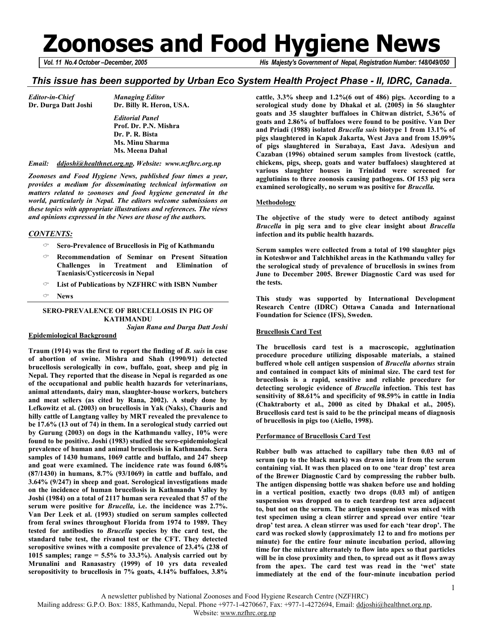# **Zoonoses and Food Hygiene News**

*Vol. 11 No.4 October –December, 2005 His Majesty's Government of Nepal, Registration Number: 148/049/050* 

## *This issue has been supported by Urban Eco System Health Project Phase - II, IDRC, Canada.*

*Editor-in-Chief Managing Editor* 

**Dr. Durga Datt Joshi Dr. Billy R. Heron, USA.**   *Editorial Panel*   **Prof. Dr. P.N. Mishra Dr. P. R. Bista Ms. Minu Sharma Ms. Meena Dahal** 

#### *Email: ddjoshi@healthnet.org.np, Website: www.nzfhrc.org.np*

*Zoonoses and Food Hygiene News, published four times a year, provides a medium for disseminating technical information on matters related to zoonoses and food hygiene generated in the world, particularly in Nepal. The editors welcome submissions on these topics with appropriate illustrations and references. The views and opinions expressed in the News are those of the authors.* 

#### *CONTENTS:*

- **Sero-Prevalence of Brucellosis in Pig of Kathmandu**
- **Recommendation of Seminar on Present Situation Challenges in Treatment and Elimination of Taeniasis/Cysticercosis in Nepal**
- **List of Publications by NZFHRC with ISBN Number**
- **News**

### **SERO-PREVALENCE OF BRUCELLOSIS IN PIG OF KATHMANDU**  *Sujan Rana and Durga Datt Joshi*

#### **Epidemiological Background**

**Traum (1914) was the first to report the finding of** *B. suis* **in case of abortion of swine. Mishra and Shah (1990/91) detected brucellosis serologically in cow, buffalo, goat, sheep and pig in Nepal. They reported that the disease in Nepal is regarded as one of the occupational and public health hazards for veterinarians, animal attendants, dairy man, slaughter-house workers, butchers and meat sellers (as cited by Rana, 2002). A study done by Lefkowitz et al. (2003) on brucellosis in Yak (Naks), Chauris and hilly cattle of Langtang valley by MRT revealed the prevalence to be 17.6% (13 out of 74) in them. In a serological study carried out by Gurung (2003) on dogs in the Kathmandu valley, 10% were found to be positive. Joshi (1983) studied the sero-epidemiological prevalence of human and animal brucellosis in Kathmandu. Sera samples of 1430 humans, 1069 cattle and buffalo, and 247 sheep and goat were examined. The incidence rate was found 6.08% (87/1430) in humans, 8.7% (93/1069) in cattle and buffalo, and 3.64% (9/247) in sheep and goat. Serological investigations made on the incidence of human brucellosis in Kathmandu Valley by Joshi (1984) on a total of 2117 human sera revealed that 57 of the serum were positive for** *Brucella,* **i.e. the incidence was 2.7%. Van Der Leek et al. (1993) studied on serum samples collected from feral swines throughout Florida from 1974 to 1989. They tested for antibodies to** *Brucella* **species by the card test, the standard tube test, the rivanol test or the CFT. They detected seropositive swines with a composite prevalence of 23.4% (238 of 1015 samples; range = 5.5% to 33.3%). Analysis carried out by Mrunalini and Ranasastry (1999) of 10 yrs data revealed seropositivity to brucellosis in 7% goats, 4.14% buffaloes, 3.8%** 

**cattle, 3.3% sheep and 1.2%(6 out of 486) pigs. According to a serological study done by Dhakal et al. (2005) in 56 slaughter goats and 35 slaughter buffaloes in Chitwan district, 5.36% of goats and 2.86% of buffaloes were found to be positive. Van Der and Priadi (1988) isolated** *Brucella suis* **biotype 1 from 13.1% of pigs slaughtered in Kapuk Jakarta, West Java and from 15.09% of pigs slaughtered in Surabaya, East Java. Adesiyun and Cazaban (1996) obtained serum samples from livestock (cattle, chickens, pigs, sheep, goats and water buffaloes) slaughtered at various slaughter houses in Trinidad were screened for agglutinins to three zoonosis causing pathogens. Of 153 pig sera examined serologically, no serum was positive for** *Brucella.* 

#### **Methodology**

**The objective of the study were to detect antibody against**  *Brucella* **in pig sera and to give clear insight about** *Brucella* **infection and its public health hazards.** 

**Serum samples were collected from a total of 190 slaughter pigs in Koteshwor and Talchhikhel areas in the Kathmandu valley for the serological study of prevalence of brucellosis in swines from June to December 2005. Brewer Diagnostic Card was used for the tests.** 

**This study was supported by International Development Research Centre (IDRC) Ottawa Canada and International Foundation for Science (IFS), Sweden.** 

#### **Brucellosis Card Test**

**The brucellosis card test is a macroscopic, agglutination procedure procedure utilizing disposable materials, a stained buffered whole cell antigen suspension of** *Brucella abortus* **strain and contained in compact kits of minimal size. The card test for brucellosis is a rapid, sensitive and reliable procedure for detecting serologic evidence of** *Brucella* **infection. This test has sensitivity of 88.61% and specificity of 98.59% in cattle in India (Chaktraborty et al., 2000 as cited by Dhakal et al., 2005). Brucellosis card test is said to be the principal means of diagnosis of brucellosis in pigs too (Aiello, 1998).** 

#### **Performance of Brucellosis Card Test**

**Rubber bulb was attached to capillary tube then 0.03 ml of serum (up to the black mark) was drawn into it from the serum containing vial. It was then placed on to one 'tear drop' test area of the Brewer Diagnostic Card by compressing the rubber bulb. The antigen dispensing bottle was shaken before use and holding in a vertical position, exactly two drops (0.03 ml) of antigen suspension was dropped on to each teardrop test area adjacent to, but not on the serum. The antigen suspension was mixed with test specimen using a clean stirrer and spread over entire 'tear drop' test area. A clean stirrer was used for each 'tear drop'. The card was rocked slowly (approximately 12 to and fro motions per minute) for the entire four minute incubation period, allowing time for the mixture alternately to flow into apex so that particles will be in close proximity and then, to spread out as it flows away from the apex. The card test was read in the 'wet' state immediately at the end of the four-minute incubation period** 

Mailing address: G.P.O. Box: 1885, Kathmandu, Nepal. Phone +977-1-4270667, Fax: +977-1-4272694, Email: ddjoshi@healthnet.org.np,

Website: www.nzfhrc.org.np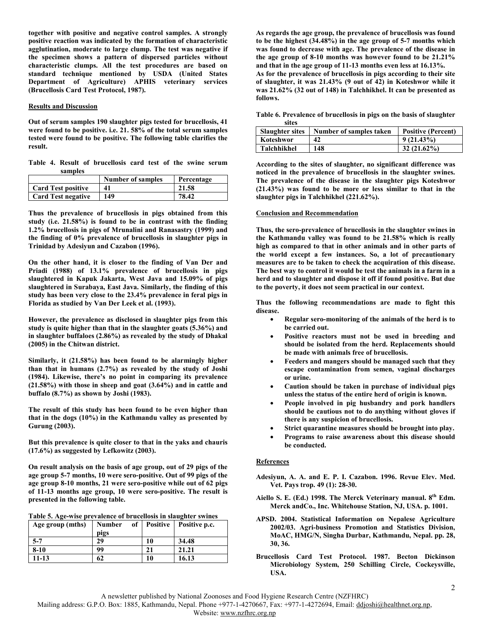**together with positive and negative control samples. A strongly positive reaction was indicated by the formation of characteristic agglutination, moderate to large clump. The test was negative if the specimen shows a pattern of dispersed particles without characteristic clumps. All the test procedures are based on standard technique mentioned by USDA (United States Department of Agriculture) APHIS veterinary services (Brucellosis Card Test Protocol, 1987).** 

#### **Results and Discussion**

**Out of serum samples 190 slaughter pigs tested for brucellosis, 41 were found to be positive. i.e. 21. 58% of the total serum samples tested were found to be positive. The following table clarifies the result.** 

**Table 4. Result of brucellosis card test of the swine serum samples** 

|                           | <b>Number of samples</b> | Percentage |
|---------------------------|--------------------------|------------|
| Card Test positive        | 41                       | 21.58      |
| <b>Card Test negative</b> | 149                      | 78.42      |

**Thus the prevalence of brucellosis in pigs obtained from this study (i.e. 21.58%) is found to be in contrast with the finding 1.2% brucellosis in pigs of Mrunalini and Ranasastry (1999) and the finding of 0% prevalence of brucellosis in slaughter pigs in Trinidad by Adesiyun and Cazabon (1996).** 

**On the other hand, it is closer to the finding of Van Der and Priadi (1988) of 13.1% prevalence of brucellosis in pigs slaughtered in Kapuk Jakarta, West Java and 15.09% of pigs slaughtered in Surabaya, East Java. Similarly, the finding of this study has been very close to the 23.4% prevalence in feral pigs in Florida as studied by Van Der Leek et al. (1993).** 

**However, the prevalence as disclosed in slaughter pigs from this study is quite higher than that in the slaughter goats (5.36%) and in slaughter buffaloes (2.86%) as revealed by the study of Dhakal (2005) in the Chitwan district.** 

**Similarly, it (21.58%) has been found to be alarmingly higher than that in humans (2.7%) as revealed by the study of Joshi (1984). Likewise, there's no point in comparing its prevalence (21.58%) with those in sheep and goat (3.64%) and in cattle and buffalo (8.7%) as shown by Joshi (1983).** 

**The result of this study has been found to be even higher than that in the dogs (10%) in the Kathmandu valley as presented by Gurung (2003).** 

**But this prevalence is quite closer to that in the yaks and chauris (17.6%) as suggested by Lefkowitz (2003).** 

**On result analysis on the basis of age group, out of 29 pigs of the age group 5-7 months, 10 were sero-positive. Out of 99 pigs of the age group 8-10 months, 21 were sero-positive while out of 62 pigs of 11-13 months age group, 10 were sero-positive. The result is presented in the following table.** 

| Table 5. Age-wise prevalence of brucellosis in slaughter swines |  |  |
|-----------------------------------------------------------------|--|--|
|                                                                 |  |  |

| Age group (mths) | Number |    | of Positive Positive p.c. |
|------------------|--------|----|---------------------------|
|                  | pigs   |    |                           |
| $5 - 7$          | 29     | 10 | 34.48                     |
| $8 - 10$         | 99     |    | 21.21                     |
| $11 - 13$        | 62     | 10 | 16.13                     |

**As regards the age group, the prevalence of brucellosis was found to be the highest (34.48%) in the age group of 5-7 months which was found to decrease with age. The prevalence of the disease in the age group of 8-10 months was however found to be 21.21% and that in the age group of 11-13 months even less at 16.13%. As for the prevalence of brucellosis in pigs according to their site of slaughter, it was 21.43% (9 out of 42) in Koteshwor while it was 21.62% (32 out of 148) in Talchhikhel. It can be presented as follows.** 

**Table 6. Prevalence of brucellosis in pigs on the basis of slaughter sites** 

| sites                  |                         |                           |
|------------------------|-------------------------|---------------------------|
| <b>Slaughter sites</b> | Number of samples taken | <b>Positive (Percent)</b> |
| Koteshwor              | 42                      | $9(21.43\%)$              |
| Talchhikhel            | 148                     | $32(21.62\%)$             |

**According to the sites of slaughter, no significant difference was noticed in the prevalence of brucellosis in the slaughter swines. The prevalence of the disease in the slaughter pigs Koteshwor (21.43%) was found to be more or less similar to that in the slaughter pigs in Talchhikhel (221.62%).** 

### **Conclusion and Recommendation**

**Thus, the sero-prevalence of brucellosis in the slaughter swines in the Kathmandu valley was found to be 21.58% which is really high as compared to that in other animals and in other parts of the world except a few instances. So, a lot of precautionary measures are to be taken to check the acquiration of this disease. The best way to control it would be test the animals in a farm in a herd and to slaughter and dispose it off if found positive. But due to the poverty, it does not seem practical in our context.** 

**Thus the following recommendations are made to fight this disease.** 

- **Regular sero-monitoring of the animals of the herd is to be carried out.**
- **Positive reactors must not be used in breeding and should be isolated from the herd. Replacements should be made with animals free of brucellosis.**
- **Feeders and mangers should be managed such that they escape contamination from semen, vaginal discharges or urine.**
- **Caution should be taken in purchase of individual pigs unless the status of the entire herd of origin is known.**
- **People involved in pig husbandry and pork handlers should be cautious not to do anything without gloves if there is any suspicion of brucellosis.**
- **Strict quarantine measures should be brought into play.**
- **Programs to raise awareness about this disease should be conducted.**

#### **References**

- **Adesiyun, A. A. and E. P. I. Cazabon. 1996. Revue Elev. Med. Vet. Pays trop. 49 (1): 28-30.**
- **Aiello S. E. (Ed.) 1998. The Merck Veterinary manual. 8th Edm. Merck andCo., Inc. Whitehouse Station, NJ, USA. p. 1001.**
- **APSD. 2004. Statistical Information on Nepalese Agriculture 2002/03. Agri-business Promotion and Statistics Division, MoAC, HMG/N, Singha Durbar, Kathmandu, Nepal. pp. 28, 30, 36.**
- **Brucellosis Card Test Protocol. 1987. Becton Dickinson Microbiology System, 250 Schilling Circle, Cockeysville, USA.**

A newsletter published by National Zoonoses and Food Hygiene Research Centre (NZFHRC)

Mailing address: G.P.O. Box: 1885, Kathmandu, Nepal. Phone +977-1-4270667, Fax: +977-1-4272694, Email: ddjoshi@healthnet.org.np,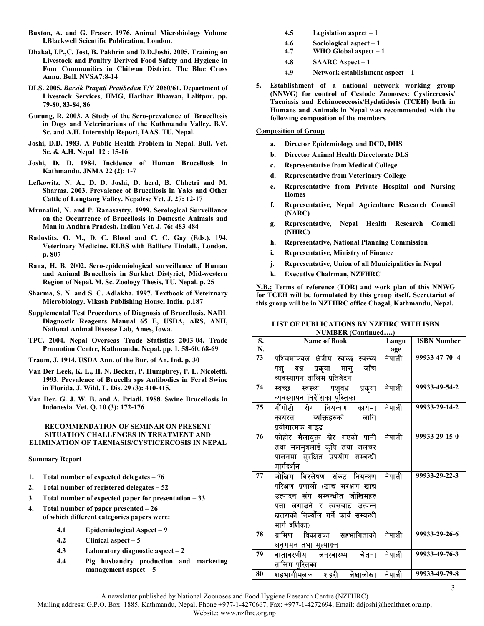- **Buxton, A. and G. Fraser. 1976. Animal Microbiology Volume I.Blackwell Scientific Publication, London.**
- **Dhakal, I.P.,C. Jost, B. Pakhrin and D.D.Joshi. 2005. Training on Livestock and Poultry Derived Food Safety and Hygiene in Four Communities in Chitwan District. The Blue Cross Annu. Bull. NVSA7:8-14**
- **DLS. 2005.** *Barsik Pragati Pratibedan* **F/Y 2060/61. Department of Livestock Services, HMG, Harihar Bhawan, Lalitpur. pp. 79-80, 83-84, 86**
- **Gurung, R. 2003. A Study of the Sero-prevalence of Brucellosis in Dogs and Veterinarians of the Kathmandu Valley. B.V. Sc. and A.H. Internship Report, IAAS. TU. Nepal.**
- **Joshi, D.D. 1983. A Public Health Problem in Nepal. Bull. Vet. Sc. & A.H. Nepal 12 : 15-16**
- **Joshi, D. D. 1984. Incidence of Human Brucellosis in Kathmandu. JNMA 22 (2): 1-7**
- **Lefkowitz, N. A., D. D. Joshi, D. herd, B. Chhetri and M. Sharma. 2003. Prevalence of Brucellosis in Yaks and Other Cattle of Langtang Valley. Nepalese Vet. J. 27: 12-17**
- **Mrunalini, N. and P. Ranasastry. 1999. Serological Surveillance on the Occurrence of Brucellosis in Domestic Animals and Man in Andhra Pradesh. Indian Vet. J. 76: 483-484**
- **Radostits, O. M., D. C. Blood and C. C. Gay (Eds.). 194. Veterinary Medicine. ELBS with Balliere Tindall., London. p. 807**
- **Rana, H. B. 2002. Sero-epidemiological surveillance of Human and Animal Brucellosis in Surkhet Distyrict, Mid-western Region of Nepal. M. Sc. Zoology Thesis, TU, Nepal. p. 25**
- **Sharma, S. N. and S. C. Adlakha. 1997. Textbook of Veteirnary Microbiology. Vikash Publishing House, India. p.187**
- **Supplemental Test Procedures of Diagnosis of Brucellosis. NADL Diagnostic Reagents Manual 65 E, USDA, ARS, ANH, National Animal Disease Lab, Ames, Iowa.**
- **TPC. 2004. Nepal Overseas Trade Statistics 2003-04. Trade Promotion Centre, Kathmandu, Nepal. pp. 1, 58-60, 68-69**
- **Traum, J. 1914. USDA Ann. of the Bur. of An. Ind. p. 30**
- **Van Der Leek, K. L., H. N. Becker, P. Humphrey, P. L. Nicoletti. 1993. Prevalence of Brucella sps Antibodies in Feral Swine in Florida. J. Wild. L. Dis. 29 (3): 410-415.**
- **Van Der. G. J. W. B. and A. Priadi. 1988. Swine Brucellosis in Indonesia. Vet. Q. 10 (3): 172-176**

#### **RECOMMENDATION OF SEMINAR ON PRESENT SITUATION CHALLENGES IN TREATMENT AND ELIMINATION OF TAENIASIS/CYSTICERCOSIS IN NEPAL**

#### **Summary Report**

- **1. Total number of expected delegates 76**
- **2. Total number of registered delegates 52**
- **3. Total number of expected paper for presentation 33**
- **4. Total number of paper presented 26 of which different categories papers were:** 
	- **4.1 Epidemiological Aspect 9**
	- **4.2 Clinical aspect 5**
	- **4.3 Laboratory diagnostic aspect 2**
	- **4.4 Pig husbandry production and marketing management aspect – 5**
- **4.5 Legislation aspect 1**
- **4.6 Sociological aspect 1**
- **4.7 WHO Global aspect 1**
- **4.8 SAARC Aspect 1**
- **4.9 Network establishment aspect 1**
- **5. Establishment of a national network working group (NNWG) for control of Cestode Zoonoses: Cysticercosis/ Taeniasis and Echinococcosis/Hydatidosis (TCEH) both in Humans and Animals in Nepal was recommended with the following composition of the members**

### **Composition of Group**

- **a. Director Epidemiology and DCD, DHS**
- **b. Director Animal Health Directorate DLS**
- **c. Representative from Medical College**
- **d. Representative from Veterinary College**
- **e. Representative from Private Hospital and Nursing Homes**
- **f. Representative, Nepal Agriculture Research Council (NARC)**
- **g. Representative, Nepal Health Research Council (NHRC)**
- **h. Representative, National Planning Commission**
- **i. Representative, Ministry of Finance**
- **j. Representative, Union of all Municipalities in Nepal**
- **k. Executive Chairman, NZFHRC**

**N.B.: Terms of reference (TOR) and work plan of this NNWG for TCEH will be formulated by this group itself. Secretariat of this group will be in NZFHRC office Chagal, Kathmandu, Nepal.** 

|    | NUMBER (CONTINUED)                    |        |                    |  |  |
|----|---------------------------------------|--------|--------------------|--|--|
| S. | <b>Name of Book</b>                   | Langu  | <b>ISBN Number</b> |  |  |
| N. |                                       | age    |                    |  |  |
| 73 | पश्चिमाञ्चल क्षेत्रीय स्वच्छ स्वस्थ्य | नेपाली | 99933-47-70-4      |  |  |
|    | जाँच<br>वध प्रकृया मास्<br>पश्        |        |                    |  |  |
|    | व्यवस्थापन तालिम प्रतिवेदन            |        |                    |  |  |
| 74 | स्वस्थ्य<br>पशुवध प्रकृया<br>स्वच्छ   | नेपाली | 99933-49-54-2      |  |  |
|    | व्यवस्थापन निर्देशिका पुस्तिका        |        |                    |  |  |
| 75 | कार्यमा<br>गौंगोटी<br>रोग नियन्त्रण   | नेपाली | 99933-29-14-2      |  |  |
|    | व्यक्तिहरुको<br>लागि<br>कार्यरत       |        |                    |  |  |
|    | प्रयोगात्मक गाइड                      |        |                    |  |  |
| 76 | <u>फोहोर</u> मैलायुक्त खेर गएको पानी  | नेपाली | 99933-29-15-0      |  |  |
|    | तथा मलमुत्रलाई कृषि तथा जलचर          |        |                    |  |  |
|    | पालनमा सुरक्षित उपयोग सम्बन्धी        |        |                    |  |  |
|    | मार्गदर्शन                            |        |                    |  |  |
| 77 | जोखिम विश्लेषण संकट नियन्त्रण         | नेपाली | 99933-29-22-3      |  |  |
|    | परिक्षण प्रणाली (खाद्य संरक्षण खाद्य  |        |                    |  |  |
|    | उत्पादन संग सम्बन्धीत जोखिमहरु        |        |                    |  |  |
|    | पत्ता लगाउने र त्यसबाट उत्पन्न        |        |                    |  |  |
|    | खतराको निक्यौल गर्ने कार्य सम्बन्धी   |        |                    |  |  |
|    | मार्ग दर्शिका)                        |        |                    |  |  |
| 78 | विकासका सहभागिताको<br>ग्रामिण         | नेपाली | 99933-29-26-6      |  |  |
|    | अनुगमन तथा मूल्याइन                   |        |                    |  |  |
| 79 | वातावरणीय जनस्वास्थ्य<br>चेतना        | नेपाली | 99933-49-76-3      |  |  |
|    | तालिम पुस्तिका                        |        |                    |  |  |
| 80 | शहभागीमुलक शहरी लेखाजोखा              | नेपाली | 99933-49-79-8      |  |  |

#### **LIST OF PUBLICATIONS BY NZFHRC WITH ISBN NUMBER (Continued)**

A newsletter published by National Zoonoses and Food Hygiene Research Centre (NZFHRC)

Mailing address: G.P.O. Box: 1885, Kathmandu, Nepal. Phone +977-1-4270667, Fax: +977-1-4272694, Email: ddjoshi@healthnet.org.np,